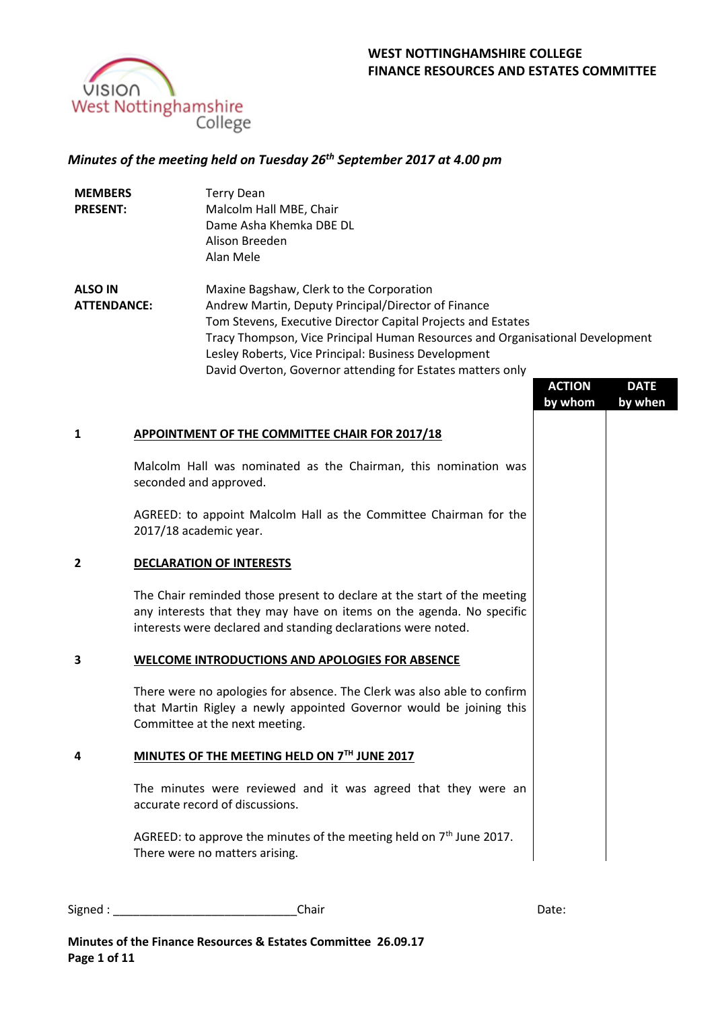

# *Minutes of the meeting held on Tuesday 26th September 2017 at 4.00 pm*

| <b>MEMBERS</b><br><b>PRESENT:</b>    |                                                                                             | <b>Terry Dean</b><br>Malcolm Hall MBE, Chair<br>Dame Asha Khemka DBE DL<br>Alison Breeden<br>Alan Mele                                                                                                                                                                                                                                                                 |                          |                        |  |  |
|--------------------------------------|---------------------------------------------------------------------------------------------|------------------------------------------------------------------------------------------------------------------------------------------------------------------------------------------------------------------------------------------------------------------------------------------------------------------------------------------------------------------------|--------------------------|------------------------|--|--|
| <b>ALSO IN</b><br><b>ATTENDANCE:</b> |                                                                                             | Maxine Bagshaw, Clerk to the Corporation<br>Andrew Martin, Deputy Principal/Director of Finance<br>Tom Stevens, Executive Director Capital Projects and Estates<br>Tracy Thompson, Vice Principal Human Resources and Organisational Development<br>Lesley Roberts, Vice Principal: Business Development<br>David Overton, Governor attending for Estates matters only | <b>ACTION</b><br>by whom | <b>DATE</b><br>by when |  |  |
| 1                                    |                                                                                             | APPOINTMENT OF THE COMMITTEE CHAIR FOR 2017/18                                                                                                                                                                                                                                                                                                                         |                          |                        |  |  |
|                                      | Malcolm Hall was nominated as the Chairman, this nomination was<br>seconded and approved.   |                                                                                                                                                                                                                                                                                                                                                                        |                          |                        |  |  |
|                                      | AGREED: to appoint Malcolm Hall as the Committee Chairman for the<br>2017/18 academic year. |                                                                                                                                                                                                                                                                                                                                                                        |                          |                        |  |  |
| 2                                    |                                                                                             | <b>DECLARATION OF INTERESTS</b>                                                                                                                                                                                                                                                                                                                                        |                          |                        |  |  |
|                                      |                                                                                             | The Chair reminded those present to declare at the start of the meeting<br>any interests that they may have on items on the agenda. No specific<br>interests were declared and standing declarations were noted.                                                                                                                                                       |                          |                        |  |  |
| 3                                    |                                                                                             | <b>WELCOME INTRODUCTIONS AND APOLOGIES FOR ABSENCE</b>                                                                                                                                                                                                                                                                                                                 |                          |                        |  |  |
|                                      |                                                                                             | There were no apologies for absence. The Clerk was also able to confirm<br>that Martin Rigley a newly appointed Governor would be joining this<br>Committee at the next meeting.                                                                                                                                                                                       |                          |                        |  |  |
| 4                                    | MINUTES OF THE MEETING HELD ON 7TH JUNE 2017                                                |                                                                                                                                                                                                                                                                                                                                                                        |                          |                        |  |  |
|                                      |                                                                                             | The minutes were reviewed and it was agreed that they were an<br>accurate record of discussions.                                                                                                                                                                                                                                                                       |                          |                        |  |  |
|                                      |                                                                                             | AGREED: to approve the minutes of the meeting held on $7th$ June 2017.<br>There were no matters arising.                                                                                                                                                                                                                                                               |                          |                        |  |  |
|                                      |                                                                                             |                                                                                                                                                                                                                                                                                                                                                                        |                          |                        |  |  |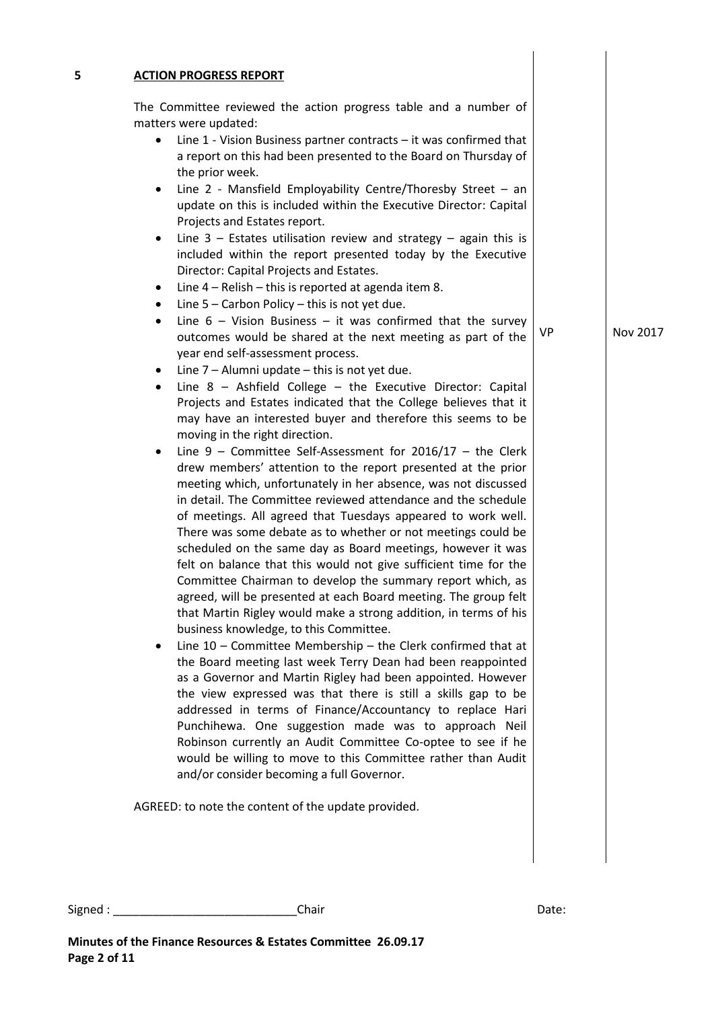|           | The Committee reviewed the action progress table and a number of                                                                                                                                                                                                                                                                                                                                                                                               |     |          |
|-----------|----------------------------------------------------------------------------------------------------------------------------------------------------------------------------------------------------------------------------------------------------------------------------------------------------------------------------------------------------------------------------------------------------------------------------------------------------------------|-----|----------|
|           | matters were updated:                                                                                                                                                                                                                                                                                                                                                                                                                                          |     |          |
| ٠         | Line $1$ - Vision Business partner contracts $-$ it was confirmed that<br>a report on this had been presented to the Board on Thursday of<br>the prior week.                                                                                                                                                                                                                                                                                                   |     |          |
| ٠         | Line 2 - Mansfield Employability Centre/Thoresby Street $-$ an<br>update on this is included within the Executive Director: Capital<br>Projects and Estates report.                                                                                                                                                                                                                                                                                            |     |          |
| $\bullet$ | Line $3$ – Estates utilisation review and strategy – again this is<br>included within the report presented today by the Executive<br>Director: Capital Projects and Estates.                                                                                                                                                                                                                                                                                   |     |          |
| ٠<br>٠    | Line $4 -$ Relish $-$ this is reported at agenda item 8.<br>Line $5$ – Carbon Policy – this is not yet due.                                                                                                                                                                                                                                                                                                                                                    |     |          |
| $\bullet$ | Line $6 -$ Vision Business $-$ it was confirmed that the survey<br>outcomes would be shared at the next meeting as part of the                                                                                                                                                                                                                                                                                                                                 | VP. | Nov 2017 |
|           | year end self-assessment process.                                                                                                                                                                                                                                                                                                                                                                                                                              |     |          |
| ٠         | Line 7 - Alumni update - this is not yet due.                                                                                                                                                                                                                                                                                                                                                                                                                  |     |          |
| ٠         | Line $8$ - Ashfield College - the Executive Director: Capital<br>Projects and Estates indicated that the College believes that it<br>may have an interested buyer and therefore this seems to be<br>moving in the right direction.                                                                                                                                                                                                                             |     |          |
| ٠         | Line $9$ – Committee Self-Assessment for 2016/17 – the Clerk<br>drew members' attention to the report presented at the prior<br>meeting which, unfortunately in her absence, was not discussed<br>in detail. The Committee reviewed attendance and the schedule<br>of meetings. All agreed that Tuesdays appeared to work well.<br>There was some debate as to whether or not meetings could be<br>scheduled on the same day as Board meetings, however it was |     |          |
|           | felt on balance that this would not give sufficient time for the<br>Committee Chairman to develop the summary report which, as<br>agreed, will be presented at each Board meeting. The group felt<br>that Martin Rigley would make a strong addition, in terms of his<br>business knowledge, to this Committee.                                                                                                                                                |     |          |
| ٠         | Line $10$ – Committee Membership – the Clerk confirmed that at<br>the Board meeting last week Terry Dean had been reappointed<br>as a Governor and Martin Rigley had been appointed. However<br>the view expressed was that there is still a skills gap to be<br>addressed in terms of Finance/Accountancy to replace Hari<br>Punchihewa. One suggestion made was to approach Neil                                                                             |     |          |
|           | Robinson currently an Audit Committee Co-optee to see if he<br>would be willing to move to this Committee rather than Audit<br>and/or consider becoming a full Governor.                                                                                                                                                                                                                                                                                       |     |          |
|           | AGREED: to note the content of the update provided.                                                                                                                                                                                                                                                                                                                                                                                                            |     |          |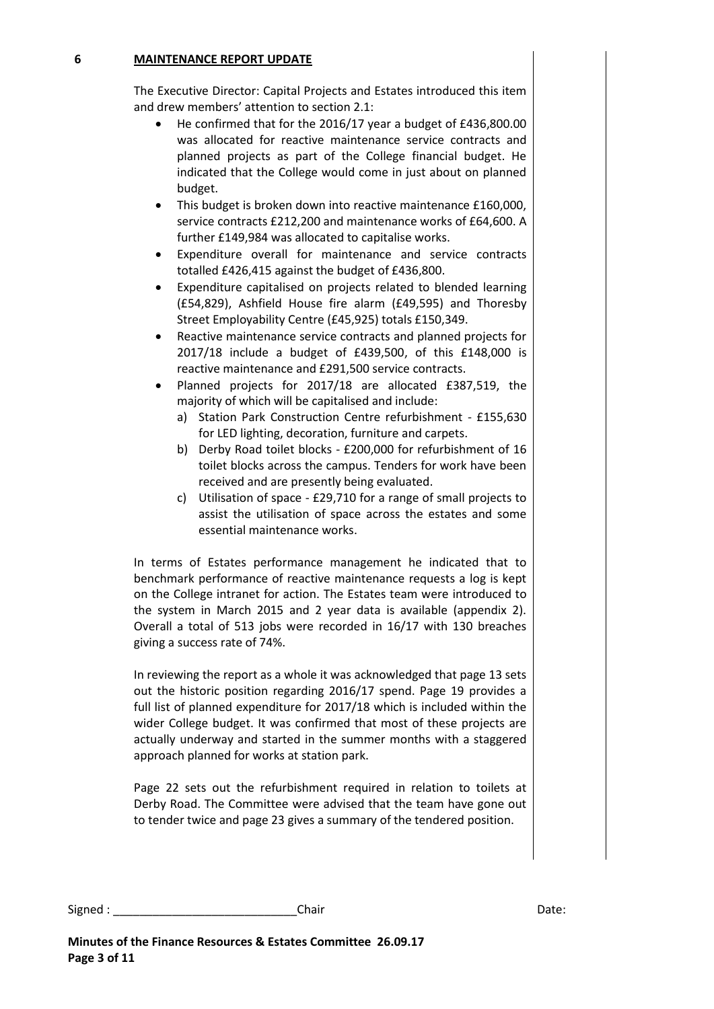### **6 MAINTENANCE REPORT UPDATE**

The Executive Director: Capital Projects and Estates introduced this item and drew members' attention to section 2.1:

- He confirmed that for the 2016/17 year a budget of £436,800.00 was allocated for reactive maintenance service contracts and planned projects as part of the College financial budget. He indicated that the College would come in just about on planned budget.
- This budget is broken down into reactive maintenance £160,000, service contracts £212,200 and maintenance works of £64,600. A further £149,984 was allocated to capitalise works.
- Expenditure overall for maintenance and service contracts totalled £426,415 against the budget of £436,800.
- Expenditure capitalised on projects related to blended learning (£54,829), Ashfield House fire alarm (£49,595) and Thoresby Street Employability Centre (£45,925) totals £150,349.
- Reactive maintenance service contracts and planned projects for 2017/18 include a budget of £439,500, of this £148,000 is reactive maintenance and £291,500 service contracts.
- Planned projects for 2017/18 are allocated £387,519, the majority of which will be capitalised and include:
	- a) Station Park Construction Centre refurbishment £155,630 for LED lighting, decoration, furniture and carpets.
	- b) Derby Road toilet blocks £200,000 for refurbishment of 16 toilet blocks across the campus. Tenders for work have been received and are presently being evaluated.
	- c) Utilisation of space £29,710 for a range of small projects to assist the utilisation of space across the estates and some essential maintenance works.

In terms of Estates performance management he indicated that to benchmark performance of reactive maintenance requests a log is kept on the College intranet for action. The Estates team were introduced to the system in March 2015 and 2 year data is available (appendix 2). Overall a total of 513 jobs were recorded in 16/17 with 130 breaches giving a success rate of 74%.

In reviewing the report as a whole it was acknowledged that page 13 sets out the historic position regarding 2016/17 spend. Page 19 provides a full list of planned expenditure for 2017/18 which is included within the wider College budget. It was confirmed that most of these projects are actually underway and started in the summer months with a staggered approach planned for works at station park.

Page 22 sets out the refurbishment required in relation to toilets at Derby Road. The Committee were advised that the team have gone out to tender twice and page 23 gives a summary of the tendered position.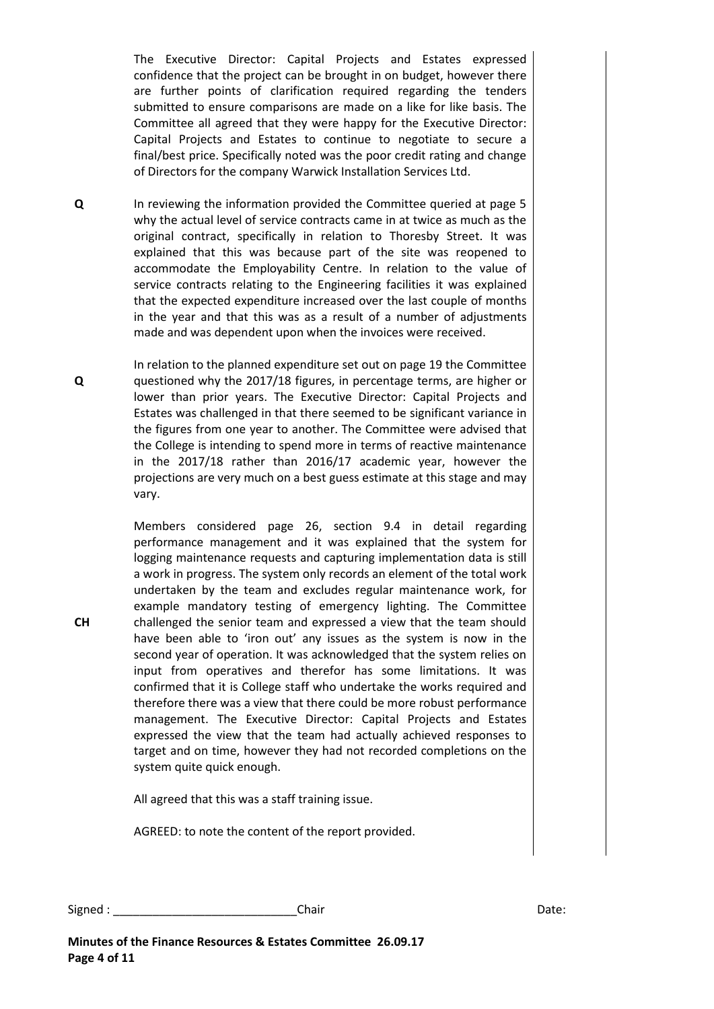The Executive Director: Capital Projects and Estates expressed confidence that the project can be brought in on budget, however there are further points of clarification required regarding the tenders submitted to ensure comparisons are made on a like for like basis. The Committee all agreed that they were happy for the Executive Director: Capital Projects and Estates to continue to negotiate to secure a final/best price. Specifically noted was the poor credit rating and change of Directors for the company Warwick Installation Services Ltd.

**Q** In reviewing the information provided the Committee queried at page 5 why the actual level of service contracts came in at twice as much as the original contract, specifically in relation to Thoresby Street. It was explained that this was because part of the site was reopened to accommodate the Employability Centre. In relation to the value of service contracts relating to the Engineering facilities it was explained that the expected expenditure increased over the last couple of months in the year and that this was as a result of a number of adjustments made and was dependent upon when the invoices were received.

In relation to the planned expenditure set out on page 19 the Committee questioned why the 2017/18 figures, in percentage terms, are higher or lower than prior years. The Executive Director: Capital Projects and Estates was challenged in that there seemed to be significant variance in the figures from one year to another. The Committee were advised that the College is intending to spend more in terms of reactive maintenance in the 2017/18 rather than 2016/17 academic year, however the projections are very much on a best guess estimate at this stage and may vary.

Members considered page 26, section 9.4 in detail regarding performance management and it was explained that the system for logging maintenance requests and capturing implementation data is still a work in progress. The system only records an element of the total work undertaken by the team and excludes regular maintenance work, for example mandatory testing of emergency lighting. The Committee challenged the senior team and expressed a view that the team should have been able to 'iron out' any issues as the system is now in the second year of operation. It was acknowledged that the system relies on input from operatives and therefor has some limitations. It was confirmed that it is College staff who undertake the works required and therefore there was a view that there could be more robust performance management. The Executive Director: Capital Projects and Estates expressed the view that the team had actually achieved responses to target and on time, however they had not recorded completions on the system quite quick enough.

All agreed that this was a staff training issue.

AGREED: to note the content of the report provided.

Signed : \_\_\_\_\_\_\_\_\_\_\_\_\_\_\_\_\_\_\_\_\_\_\_\_\_\_\_\_Chair Date:

**Q**

**CH**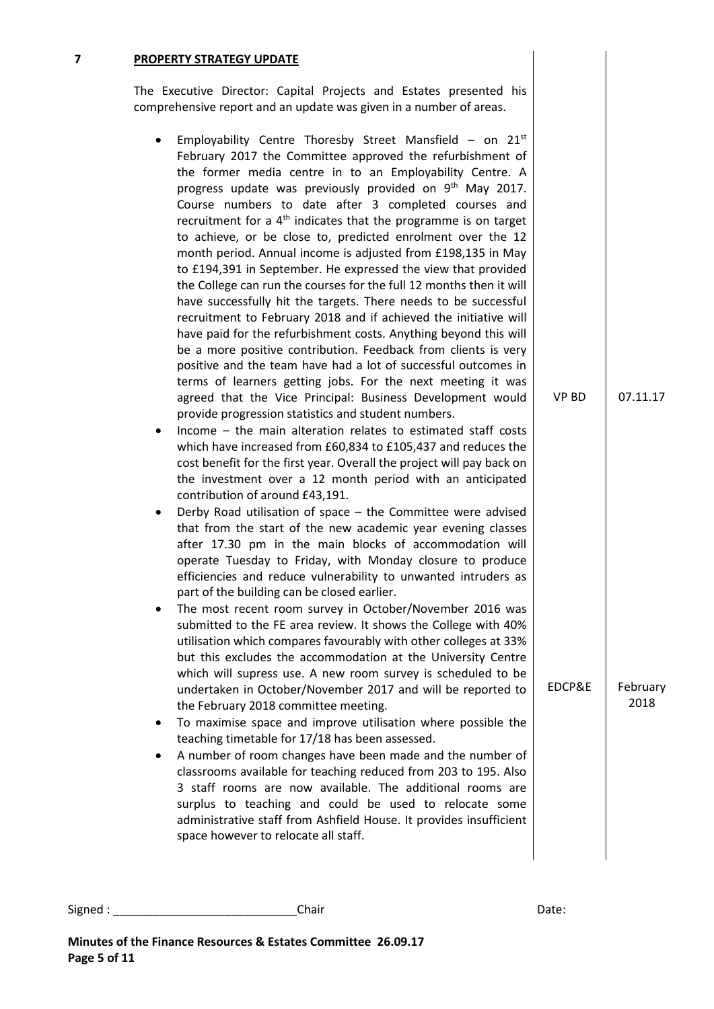### **7 PROPERTY STRATEGY UPDATE**

The Executive Director: Capital Projects and Estates presented his comprehensive report and an update was given in a number of areas.

- **•** Employability Centre Thoresby Street Mansfield on  $21^{st}$ February 2017 the Committee approved the refurbishment of the former media centre in to an Employability Centre. A progress update was previously provided on 9<sup>th</sup> May 2017. Course numbers to date after 3 completed courses and recruitment for a  $4<sup>th</sup>$  indicates that the programme is on target to achieve, or be close to, predicted enrolment over the 12 month period. Annual income is adjusted from £198,135 in May to £194,391 in September. He expressed the view that provided the College can run the courses for the full 12 months then it will have successfully hit the targets. There needs to be successful recruitment to February 2018 and if achieved the initiative will have paid for the refurbishment costs. Anything beyond this will be a more positive contribution. Feedback from clients is very positive and the team have had a lot of successful outcomes in terms of learners getting jobs. For the next meeting it was agreed that the Vice Principal: Business Development would provide progression statistics and student numbers.
- Income the main alteration relates to estimated staff costs which have increased from £60,834 to £105,437 and reduces the cost benefit for the first year. Overall the project will pay back on the investment over a 12 month period with an anticipated contribution of around £43,191.
- Derby Road utilisation of space the Committee were advised that from the start of the new academic year evening classes after 17.30 pm in the main blocks of accommodation will operate Tuesday to Friday, with Monday closure to produce efficiencies and reduce vulnerability to unwanted intruders as part of the building can be closed earlier.
- The most recent room survey in October/November 2016 was submitted to the FE area review. It shows the College with 40% utilisation which compares favourably with other colleges at 33% but this excludes the accommodation at the University Centre which will supress use. A new room survey is scheduled to be undertaken in October/November 2017 and will be reported to the February 2018 committee meeting.
- To maximise space and improve utilisation where possible the teaching timetable for 17/18 has been assessed.
- A number of room changes have been made and the number of classrooms available for teaching reduced from 203 to 195. Also 3 staff rooms are now available. The additional rooms are surplus to teaching and could be used to relocate some administrative staff from Ashfield House. It provides insufficient space however to relocate all staff.

VP BD

07.11.17

February 2018

EDCP&E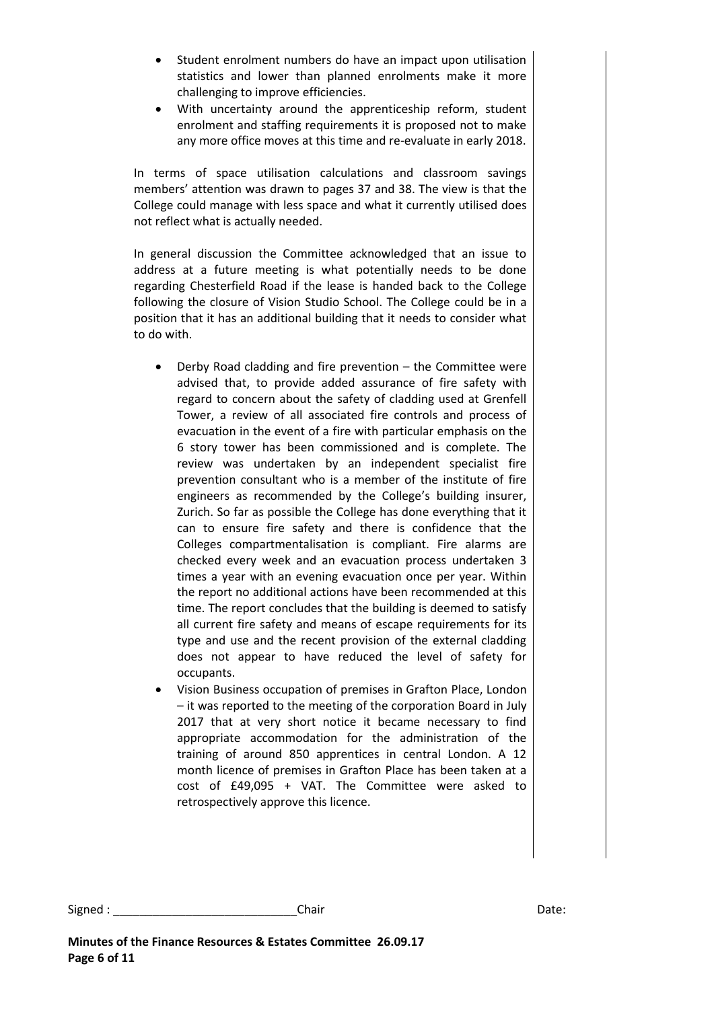- Student enrolment numbers do have an impact upon utilisation statistics and lower than planned enrolments make it more challenging to improve efficiencies.
- With uncertainty around the apprenticeship reform, student enrolment and staffing requirements it is proposed not to make any more office moves at this time and re-evaluate in early 2018.

In terms of space utilisation calculations and classroom savings members' attention was drawn to pages 37 and 38. The view is that the College could manage with less space and what it currently utilised does not reflect what is actually needed.

In general discussion the Committee acknowledged that an issue to address at a future meeting is what potentially needs to be done regarding Chesterfield Road if the lease is handed back to the College following the closure of Vision Studio School. The College could be in a position that it has an additional building that it needs to consider what to do with.

- Derby Road cladding and fire prevention the Committee were advised that, to provide added assurance of fire safety with regard to concern about the safety of cladding used at Grenfell Tower, a review of all associated fire controls and process of evacuation in the event of a fire with particular emphasis on the 6 story tower has been commissioned and is complete. The review was undertaken by an independent specialist fire prevention consultant who is a member of the institute of fire engineers as recommended by the College's building insurer, Zurich. So far as possible the College has done everything that it can to ensure fire safety and there is confidence that the Colleges compartmentalisation is compliant. Fire alarms are checked every week and an evacuation process undertaken 3 times a year with an evening evacuation once per year. Within the report no additional actions have been recommended at this time. The report concludes that the building is deemed to satisfy all current fire safety and means of escape requirements for its type and use and the recent provision of the external cladding does not appear to have reduced the level of safety for occupants.
- Vision Business occupation of premises in Grafton Place, London – it was reported to the meeting of the corporation Board in July 2017 that at very short notice it became necessary to find appropriate accommodation for the administration of the training of around 850 apprentices in central London. A 12 month licence of premises in Grafton Place has been taken at a cost of £49,095 + VAT. The Committee were asked to retrospectively approve this licence.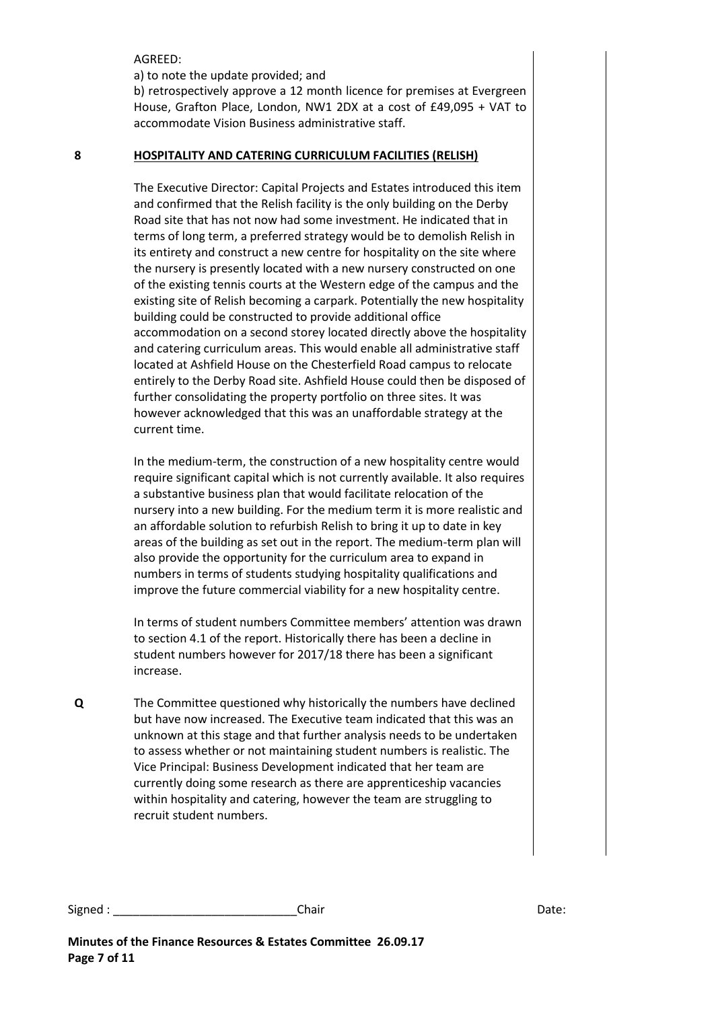AGREED:

a) to note the update provided; and

b) retrospectively approve a 12 month licence for premises at Evergreen House, Grafton Place, London, NW1 2DX at a cost of £49,095 + VAT to accommodate Vision Business administrative staff.

#### **8 HOSPITALITY AND CATERING CURRICULUM FACILITIES (RELISH)**

The Executive Director: Capital Projects and Estates introduced this item and confirmed that the Relish facility is the only building on the Derby Road site that has not now had some investment. He indicated that in terms of long term, a preferred strategy would be to demolish Relish in its entirety and construct a new centre for hospitality on the site where the nursery is presently located with a new nursery constructed on one of the existing tennis courts at the Western edge of the campus and the existing site of Relish becoming a carpark. Potentially the new hospitality building could be constructed to provide additional office accommodation on a second storey located directly above the hospitality and catering curriculum areas. This would enable all administrative staff located at Ashfield House on the Chesterfield Road campus to relocate entirely to the Derby Road site. Ashfield House could then be disposed of further consolidating the property portfolio on three sites. It was however acknowledged that this was an unaffordable strategy at the current time.

In the medium-term, the construction of a new hospitality centre would require significant capital which is not currently available. It also requires a substantive business plan that would facilitate relocation of the nursery into a new building. For the medium term it is more realistic and an affordable solution to refurbish Relish to bring it up to date in key areas of the building as set out in the report. The medium-term plan will also provide the opportunity for the curriculum area to expand in numbers in terms of students studying hospitality qualifications and improve the future commercial viability for a new hospitality centre.

In terms of student numbers Committee members' attention was drawn to section 4.1 of the report. Historically there has been a decline in student numbers however for 2017/18 there has been a significant increase.

**Q** The Committee questioned why historically the numbers have declined but have now increased. The Executive team indicated that this was an unknown at this stage and that further analysis needs to be undertaken to assess whether or not maintaining student numbers is realistic. The Vice Principal: Business Development indicated that her team are currently doing some research as there are apprenticeship vacancies within hospitality and catering, however the team are struggling to recruit student numbers.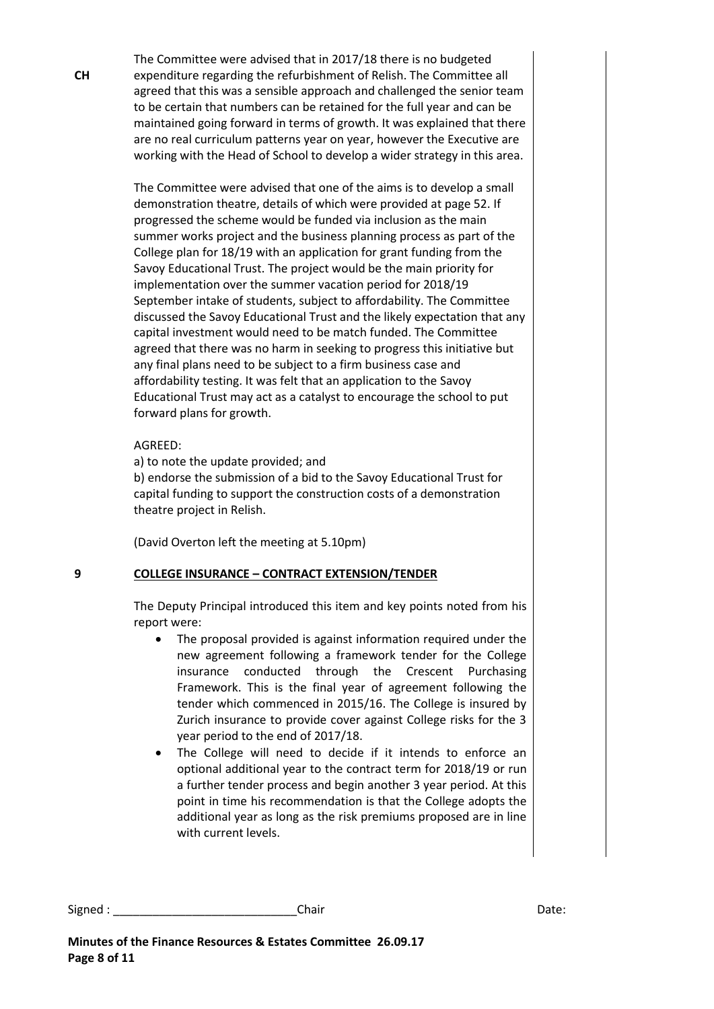The Committee were advised that in 2017/18 there is no budgeted expenditure regarding the refurbishment of Relish. The Committee all agreed that this was a sensible approach and challenged the senior team to be certain that numbers can be retained for the full year and can be maintained going forward in terms of growth. It was explained that there are no real curriculum patterns year on year, however the Executive are working with the Head of School to develop a wider strategy in this area.

The Committee were advised that one of the aims is to develop a small demonstration theatre, details of which were provided at page 52. If progressed the scheme would be funded via inclusion as the main summer works project and the business planning process as part of the College plan for 18/19 with an application for grant funding from the Savoy Educational Trust. The project would be the main priority for implementation over the summer vacation period for 2018/19 September intake of students, subject to affordability. The Committee discussed the Savoy Educational Trust and the likely expectation that any capital investment would need to be match funded. The Committee agreed that there was no harm in seeking to progress this initiative but any final plans need to be subject to a firm business case and affordability testing. It was felt that an application to the Savoy Educational Trust may act as a catalyst to encourage the school to put forward plans for growth.

### AGREED:

a) to note the update provided; and

b) endorse the submission of a bid to the Savoy Educational Trust for capital funding to support the construction costs of a demonstration theatre project in Relish.

(David Overton left the meeting at 5.10pm)

# **9 COLLEGE INSURANCE – CONTRACT EXTENSION/TENDER**

The Deputy Principal introduced this item and key points noted from his report were:

- The proposal provided is against information required under the new agreement following a framework tender for the College insurance conducted through the Crescent Purchasing Framework. This is the final year of agreement following the tender which commenced in 2015/16. The College is insured by Zurich insurance to provide cover against College risks for the 3 year period to the end of 2017/18.
- The College will need to decide if it intends to enforce an optional additional year to the contract term for 2018/19 or run a further tender process and begin another 3 year period. At this point in time his recommendation is that the College adopts the additional year as long as the risk premiums proposed are in line with current levels.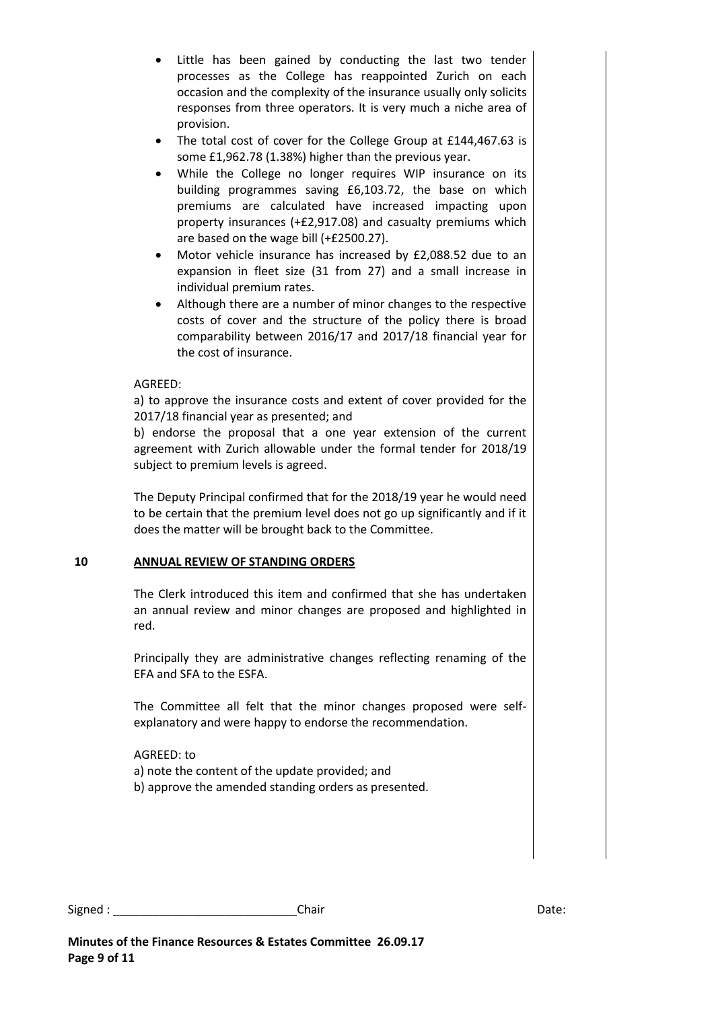- Little has been gained by conducting the last two tender processes as the College has reappointed Zurich on each occasion and the complexity of the insurance usually only solicits responses from three operators. It is very much a niche area of provision.
- The total cost of cover for the College Group at £144,467.63 is some £1,962.78 (1.38%) higher than the previous year.
- While the College no longer requires WIP insurance on its building programmes saving £6,103.72, the base on which premiums are calculated have increased impacting upon property insurances (+£2,917.08) and casualty premiums which are based on the wage bill (+£2500.27).
- Motor vehicle insurance has increased by £2,088.52 due to an expansion in fleet size (31 from 27) and a small increase in individual premium rates.
- Although there are a number of minor changes to the respective costs of cover and the structure of the policy there is broad comparability between 2016/17 and 2017/18 financial year for the cost of insurance.

# AGREED:

a) to approve the insurance costs and extent of cover provided for the 2017/18 financial year as presented; and

b) endorse the proposal that a one year extension of the current agreement with Zurich allowable under the formal tender for 2018/19 subject to premium levels is agreed.

The Deputy Principal confirmed that for the 2018/19 year he would need to be certain that the premium level does not go up significantly and if it does the matter will be brought back to the Committee.

# **10 ANNUAL REVIEW OF STANDING ORDERS**

The Clerk introduced this item and confirmed that she has undertaken an annual review and minor changes are proposed and highlighted in red.

Principally they are administrative changes reflecting renaming of the EFA and SFA to the ESFA.

The Committee all felt that the minor changes proposed were selfexplanatory and were happy to endorse the recommendation.

# AGREED: to

- a) note the content of the update provided; and
- b) approve the amended standing orders as presented.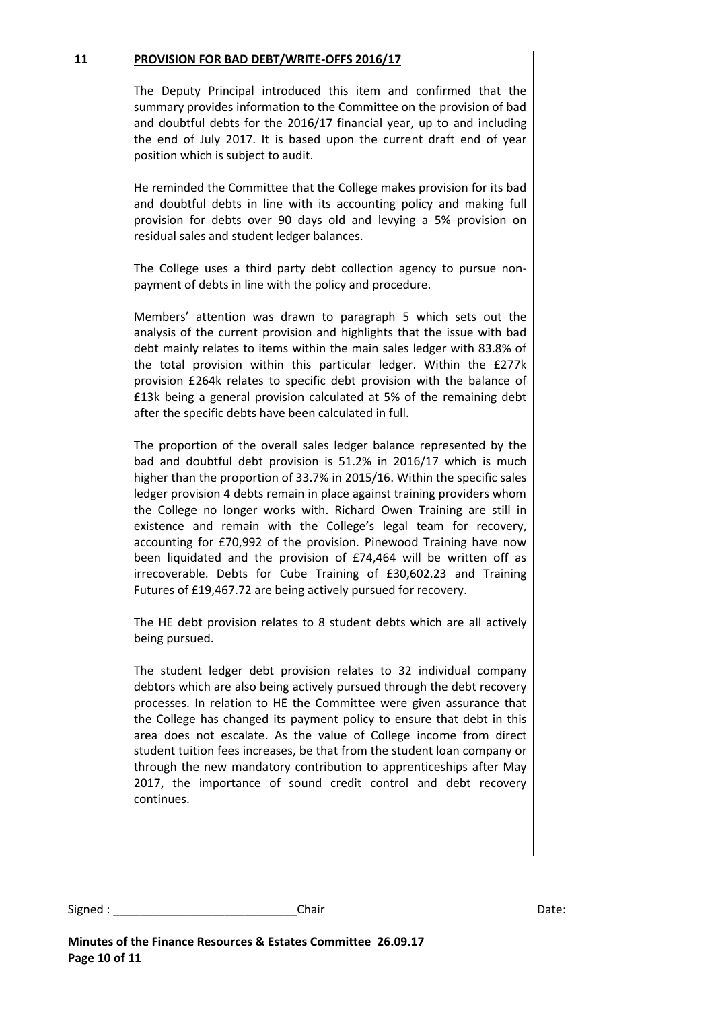#### **11 PROVISION FOR BAD DEBT/WRITE-OFFS 2016/17**

The Deputy Principal introduced this item and confirmed that the summary provides information to the Committee on the provision of bad and doubtful debts for the 2016/17 financial year, up to and including the end of July 2017. It is based upon the current draft end of year position which is subject to audit.

He reminded the Committee that the College makes provision for its bad and doubtful debts in line with its accounting policy and making full provision for debts over 90 days old and levying a 5% provision on residual sales and student ledger balances.

The College uses a third party debt collection agency to pursue nonpayment of debts in line with the policy and procedure.

Members' attention was drawn to paragraph 5 which sets out the analysis of the current provision and highlights that the issue with bad debt mainly relates to items within the main sales ledger with 83.8% of the total provision within this particular ledger. Within the £277k provision £264k relates to specific debt provision with the balance of £13k being a general provision calculated at 5% of the remaining debt after the specific debts have been calculated in full.

The proportion of the overall sales ledger balance represented by the bad and doubtful debt provision is 51.2% in 2016/17 which is much higher than the proportion of 33.7% in 2015/16. Within the specific sales ledger provision 4 debts remain in place against training providers whom the College no longer works with. Richard Owen Training are still in existence and remain with the College's legal team for recovery, accounting for £70,992 of the provision. Pinewood Training have now been liquidated and the provision of £74,464 will be written off as irrecoverable. Debts for Cube Training of £30,602.23 and Training Futures of £19,467.72 are being actively pursued for recovery.

The HE debt provision relates to 8 student debts which are all actively being pursued.

The student ledger debt provision relates to 32 individual company debtors which are also being actively pursued through the debt recovery processes. In relation to HE the Committee were given assurance that the College has changed its payment policy to ensure that debt in this area does not escalate. As the value of College income from direct student tuition fees increases, be that from the student loan company or through the new mandatory contribution to apprenticeships after May 2017, the importance of sound credit control and debt recovery continues.